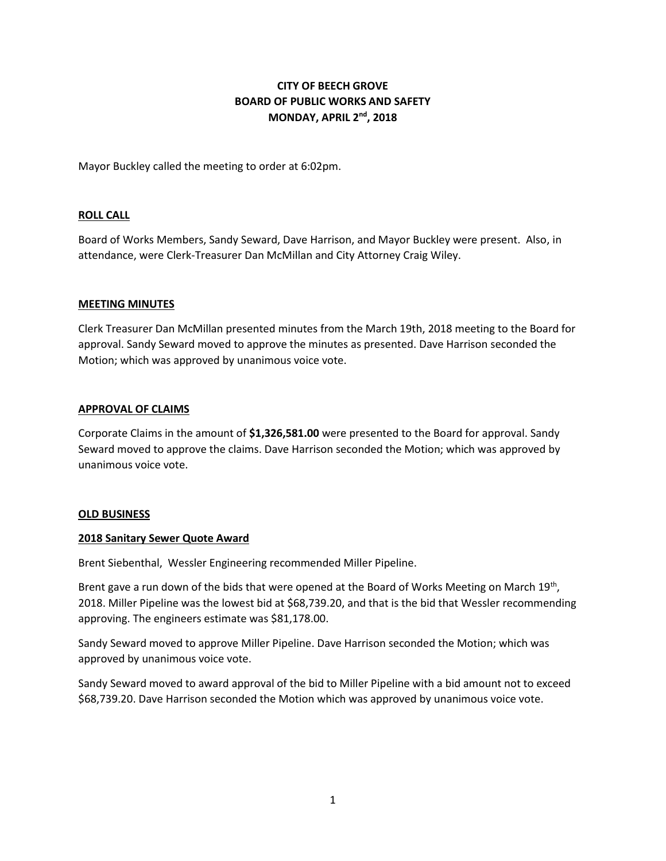# **CITY OF BEECH GROVE BOARD OF PUBLIC WORKS AND SAFETY MONDAY, APRIL 2nd, 2018**

Mayor Buckley called the meeting to order at 6:02pm.

#### **ROLL CALL**

Board of Works Members, Sandy Seward, Dave Harrison, and Mayor Buckley were present. Also, in attendance, were Clerk-Treasurer Dan McMillan and City Attorney Craig Wiley.

#### **MEETING MINUTES**

Clerk Treasurer Dan McMillan presented minutes from the March 19th, 2018 meeting to the Board for approval. Sandy Seward moved to approve the minutes as presented. Dave Harrison seconded the Motion; which was approved by unanimous voice vote.

#### **APPROVAL OF CLAIMS**

Corporate Claims in the amount of **\$1,326,581.00** were presented to the Board for approval. Sandy Seward moved to approve the claims. Dave Harrison seconded the Motion; which was approved by unanimous voice vote.

#### **OLD BUSINESS**

#### **2018 Sanitary Sewer Quote Award**

Brent Siebenthal, Wessler Engineering recommended Miller Pipeline.

Brent gave a run down of the bids that were opened at the Board of Works Meeting on March 19<sup>th</sup>, 2018. Miller Pipeline was the lowest bid at \$68,739.20, and that is the bid that Wessler recommending approving. The engineers estimate was \$81,178.00.

Sandy Seward moved to approve Miller Pipeline. Dave Harrison seconded the Motion; which was approved by unanimous voice vote.

Sandy Seward moved to award approval of the bid to Miller Pipeline with a bid amount not to exceed \$68,739.20. Dave Harrison seconded the Motion which was approved by unanimous voice vote.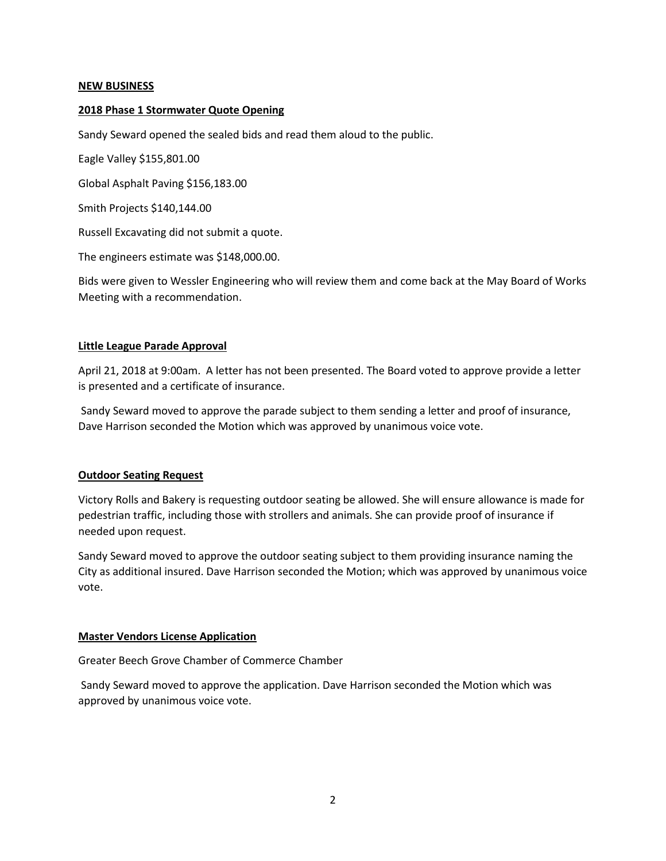#### **NEW BUSINESS**

#### **2018 Phase 1 Stormwater Quote Opening**

Sandy Seward opened the sealed bids and read them aloud to the public.

Eagle Valley \$155,801.00

Global Asphalt Paving \$156,183.00

Smith Projects \$140,144.00

Russell Excavating did not submit a quote.

The engineers estimate was \$148,000.00.

Bids were given to Wessler Engineering who will review them and come back at the May Board of Works Meeting with a recommendation.

#### **Little League Parade Approval**

April 21, 2018 at 9:00am. A letter has not been presented. The Board voted to approve provide a letter is presented and a certificate of insurance.

Sandy Seward moved to approve the parade subject to them sending a letter and proof of insurance, Dave Harrison seconded the Motion which was approved by unanimous voice vote.

#### **Outdoor Seating Request**

Victory Rolls and Bakery is requesting outdoor seating be allowed. She will ensure allowance is made for pedestrian traffic, including those with strollers and animals. She can provide proof of insurance if needed upon request.

Sandy Seward moved to approve the outdoor seating subject to them providing insurance naming the City as additional insured. Dave Harrison seconded the Motion; which was approved by unanimous voice vote.

### **Master Vendors License Application**

Greater Beech Grove Chamber of Commerce Chamber

Sandy Seward moved to approve the application. Dave Harrison seconded the Motion which was approved by unanimous voice vote.